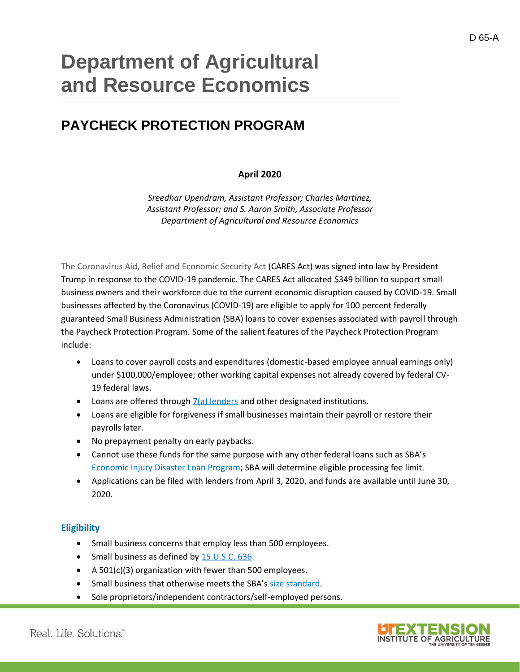# **Department of Agricultural and Resource Economics**

# **PAYCHECK PROTECTION PROGRAM**

#### **April 2020**

*Sreedhar Upendram, Assistant Professor; Charles Martinez, Assistant Professor; and S. Aaron Smith, Associate Professor Department of Agricultural and Resource Economics*

[The Coronavirus Aid, Relief and Economic Security Act](https://www.documentcloud.org/documents/6819239-FINAL-FINAL-CARES-ACT.html) (CARES Act) was signed into law by President Trump in response to the COVID-19 pandemic. The CARES Act allocated \$349 billion to support small business owners and their workforce due to the current economic disruption caused by COVID-19. Small businesses affected by the Coronavirus (COVID-19) are eligible to apply for 100 percent federally guaranteed Small Business Administration (SBA) loans to cover expenses associated with payroll through the Paycheck Protection Program. Some of the salient features of the Paycheck Protection Program include:

- Loans to cover payroll costs and expenditures (domestic-based employee annual earnings only) under \$100,000/employee; other working capital expenses not already covered by federal CV-19 federal laws.
- Loans are offered through  $\frac{7}{a}$  lenders and other designated institutions.
- Loans are eligible for forgiveness if small businesses maintain their payroll or restore their payrolls later.
- No prepayment penalty on early paybacks.
- Cannot use these funds for the same purpose with any other federal loans such as SBA's [Economic Injury Disaster Loan Program;](https://www.sba.gov/funding-programs/disaster-assistance) SBA will determine eligible processing fee limit.
- Applications can be filed with lenders from April 3, 2020, and funds are available until June 30, 2020.

#### **Eligibility**

- Small business concerns that employ less than 500 employees.
- Small business as defined by [15.U.S.C. 636.](https://www.law.cornell.edu/uscode/text/15/636)
- A 501(c)(3) organization with fewer than 500 employees.
- Small business that otherwise meets the SBA's [size standard.](https://www.sba.gov/document/support--table-size-standards)
- Sole proprietors/independent contractors/self-employed persons.

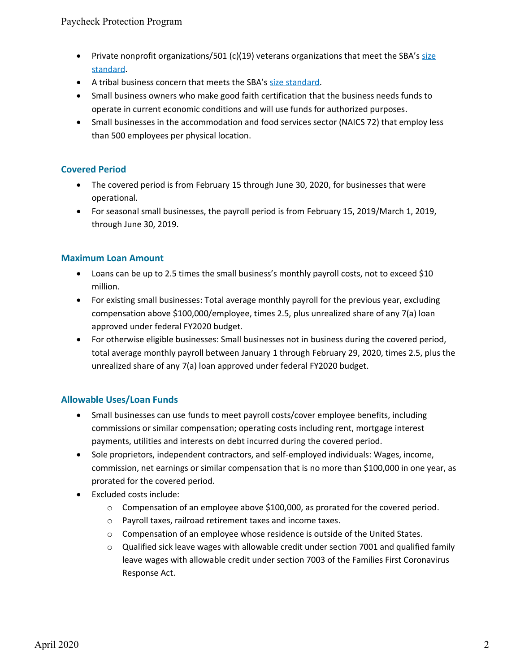- Private nonprofit organizations/501 (c)(19) veterans organizations that meet the SBA's size [standard.](https://www.sba.gov/document/support--table-size-standards)
- A tribal business concern that meets the SBA's [size standard.](https://www.sba.gov/document/support--table-size-standards)
- Small business owners who make good faith certification that the business needs funds to operate in current economic conditions and will use funds for authorized purposes.
- Small businesses in the accommodation and food services sector (NAICS 72) that employ less than 500 employees per physical location.

# **Covered Period**

- The covered period is from February 15 through June 30, 2020, for businesses that were operational.
- For seasonal small businesses, the payroll period is from February 15, 2019/March 1, 2019, through June 30, 2019.

#### **Maximum Loan Amount**

- Loans can be up to 2.5 times the small business's monthly payroll costs, not to exceed \$10 million.
- For existing small businesses: Total average monthly payroll for the previous year, excluding compensation above \$100,000/employee, times 2.5, plus unrealized share of any 7(a) loan approved under federal FY2020 budget.
- For otherwise eligible businesses: Small businesses not in business during the covered period, total average monthly payroll between January 1 through February 29, 2020, times 2.5, plus the unrealized share of any 7(a) loan approved under federal FY2020 budget.

# **Allowable Uses/Loan Funds**

- Small businesses can use funds to meet payroll costs/cover employee benefits, including commissions or similar compensation; operating costs including rent, mortgage interest payments, utilities and interests on debt incurred during the covered period.
- Sole proprietors, independent contractors, and self-employed individuals: Wages, income, commission, net earnings or similar compensation that is no more than \$100,000 in one year, as prorated for the covered period.
- Excluded costs include:
	- $\circ$  Compensation of an employee above \$100,000, as prorated for the covered period.
	- o Payroll taxes, railroad retirement taxes and income taxes.
	- $\circ$  Compensation of an employee whose residence is outside of the United States.
	- $\circ$  Qualified sick leave wages with allowable credit under section 7001 and qualified family leave wages with allowable credit under section 7003 of the Families First Coronavirus Response Act.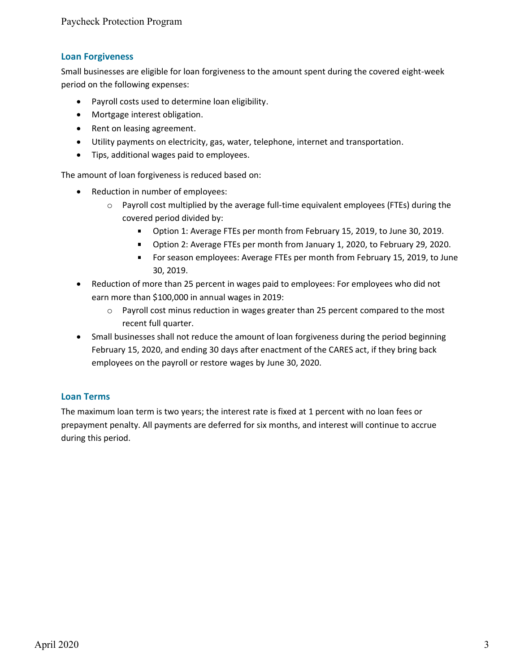# **Loan Forgiveness**

Small businesses are eligible for loan forgiveness to the amount spent during the covered eight-week period on the following expenses:

- Payroll costs used to determine loan eligibility.
- Mortgage interest obligation.
- Rent on leasing agreement.
- Utility payments on electricity, gas, water, telephone, internet and transportation.
- Tips, additional wages paid to employees.

The amount of loan forgiveness is reduced based on:

- Reduction in number of employees:
	- $\circ$  Payroll cost multiplied by the average full-time equivalent employees (FTEs) during the covered period divided by:
		- **Diam 1: Average FTEs per month from February 15, 2019, to June 30, 2019.**
		- **Diam** Option 2: Average FTEs per month from January 1, 2020, to February 29, 2020.
		- For season employees: Average FTEs per month from February 15, 2019, to June 30, 2019.
- Reduction of more than 25 percent in wages paid to employees: For employees who did not earn more than \$100,000 in annual wages in 2019:
	- $\circ$  Payroll cost minus reduction in wages greater than 25 percent compared to the most recent full quarter.
- Small businesses shall not reduce the amount of loan forgiveness during the period beginning February 15, 2020, and ending 30 days after enactment of the CARES act, if they bring back employees on the payroll or restore wages by June 30, 2020.

# **Loan Terms**

The maximum loan term is two years; the interest rate is fixed at 1 percent with no loan fees or prepayment penalty. All payments are deferred for six months, and interest will continue to accrue during this period.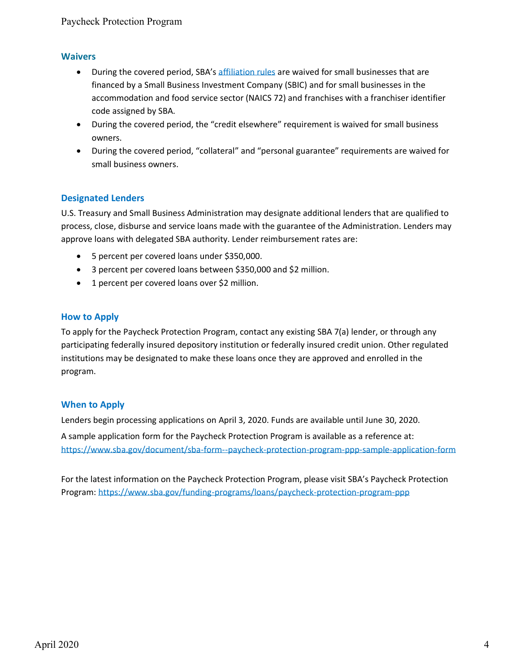#### **Waivers**

- During the covered period, SBA's [affiliation rules](https://www.sba.gov/sites/default/files/2018-09/2018-07-13%20AFFILIATION%20GUIDE_Updated%20%281%29.pdf) are waived for small businesses that are financed by a Small Business Investment Company (SBIC) and for small businesses in the accommodation and food service sector (NAICS 72) and franchises with a franchiser identifier code assigned by SBA.
- During the covered period, the "credit elsewhere" requirement is waived for small business owners.
- During the covered period, "collateral" and "personal guarantee" requirements are waived for small business owners.

# **Designated Lenders**

U.S. Treasury and Small Business Administration may designate additional lenders that are qualified to process, close, disburse and service loans made with the guarantee of the Administration. Lenders may approve loans with delegated SBA authority. Lender reimbursement rates are:

- 5 percent per covered loans under \$350,000.
- 3 percent per covered loans between \$350,000 and \$2 million.
- 1 percent per covered loans over \$2 million.

#### **How to Apply**

To apply for the Paycheck Protection Program, contact any existing SBA 7(a) lender, or through any participating federally insured depository institution or federally insured credit union. Other regulated institutions may be designated to make these loans once they are approved and enrolled in the program.

#### **When to Apply**

Lenders begin processing applications on April 3, 2020. Funds are available until June 30, 2020.

A sample application form for the Paycheck Protection Program is available as a reference at: <https://www.sba.gov/document/sba-form--paycheck-protection-program-ppp-sample-application-form>

For the latest information on the Paycheck Protection Program, please visit SBA's Paycheck Protection Program:<https://www.sba.gov/funding-programs/loans/paycheck-protection-program-ppp>